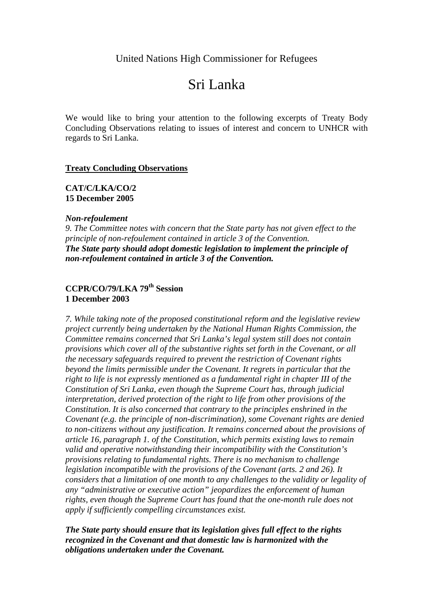United Nations High Commissioner for Refugees

# Sri Lanka

We would like to bring your attention to the following excerpts of Treaty Body Concluding Observations relating to issues of interest and concern to UNHCR with regards to Sri Lanka.

#### **Treaty Concluding Observations**

### **CAT/C/LKA/CO/2 15 December 2005**

#### *Non-refoulement*

*9. The Committee notes with concern that the State party has not given effect to the principle of non-refoulement contained in article 3 of the Convention. The State party should adopt domestic legislation to implement the principle of non-refoulement contained in article 3 of the Convention.*

## **CCPR/CO/79/LKA 79th Session 1 December 2003**

*7. While taking note of the proposed constitutional reform and the legislative review project currently being undertaken by the National Human Rights Commission, the Committee remains concerned that Sri Lanka's legal system still does not contain provisions which cover all of the substantive rights set forth in the Covenant, or all the necessary safeguards required to prevent the restriction of Covenant rights beyond the limits permissible under the Covenant. It regrets in particular that the right to life is not expressly mentioned as a fundamental right in chapter III of the Constitution of Sri Lanka, even though the Supreme Court has, through judicial interpretation, derived protection of the right to life from other provisions of the Constitution. It is also concerned that contrary to the principles enshrined in the Covenant (e.g. the principle of non-discrimination), some Covenant rights are denied to non-citizens without any justification. It remains concerned about the provisions of article 16, paragraph 1. of the Constitution, which permits existing laws to remain valid and operative notwithstanding their incompatibility with the Constitution's provisions relating to fundamental rights. There is no mechanism to challenge legislation incompatible with the provisions of the Covenant (arts. 2 and 26). It considers that a limitation of one month to any challenges to the validity or legality of any "administrative or executive action" jeopardizes the enforcement of human rights, even though the Supreme Court has found that the one-month rule does not apply if sufficiently compelling circumstances exist.* 

*The State party should ensure that its legislation gives full effect to the rights recognized in the Covenant and that domestic law is harmonized with the obligations undertaken under the Covenant.*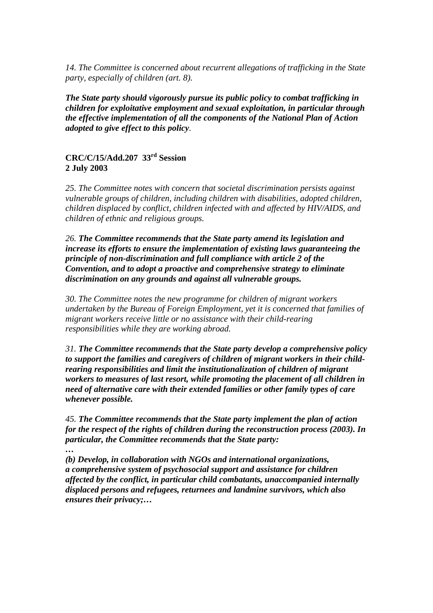*14. The Committee is concerned about recurrent allegations of trafficking in the State party, especially of children (art. 8).* 

*The State party should vigorously pursue its public policy to combat trafficking in children for exploitative employment and sexual exploitation, in particular through the effective implementation of all the components of the National Plan of Action adopted to give effect to this policy.*

## **CRC/C/15/Add.207 33rd Session 2 July 2003**

*25. The Committee notes with concern that societal discrimination persists against vulnerable groups of children, including children with disabilities, adopted children, children displaced by conflict, children infected with and affected by HIV/AIDS, and children of ethnic and religious groups.* 

*26. The Committee recommends that the State party amend its legislation and increase its efforts to ensure the implementation of existing laws guaranteeing the principle of non-discrimination and full compliance with article 2 of the Convention, and to adopt a proactive and comprehensive strategy to eliminate discrimination on any grounds and against all vulnerable groups.*

*30. The Committee notes the new programme for children of migrant workers undertaken by the Bureau of Foreign Employment, yet it is concerned that families of migrant workers receive little or no assistance with their child-rearing responsibilities while they are working abroad.* 

*31. The Committee recommends that the State party develop a comprehensive policy to support the families and caregivers of children of migrant workers in their childrearing responsibilities and limit the institutionalization of children of migrant workers to measures of last resort, while promoting the placement of all children in need of alternative care with their extended families or other family types of care whenever possible.*

*45. The Committee recommends that the State party implement the plan of action for the respect of the rights of children during the reconstruction process (2003). In particular, the Committee recommends that the State party:* 

*…* 

*(b) Develop, in collaboration with NGOs and international organizations, a comprehensive system of psychosocial support and assistance for children affected by the conflict, in particular child combatants, unaccompanied internally displaced persons and refugees, returnees and landmine survivors, which also ensures their privacy;…*